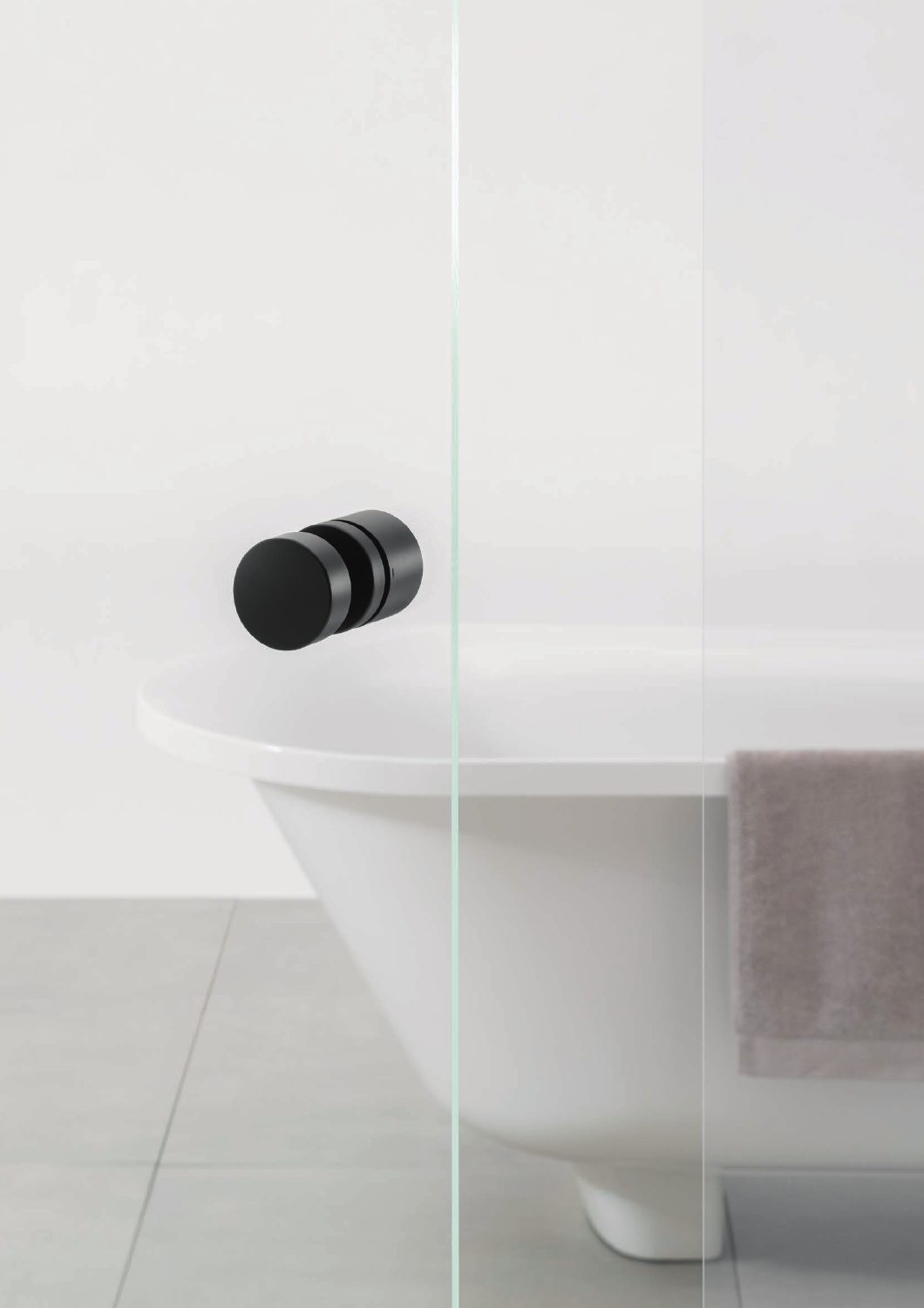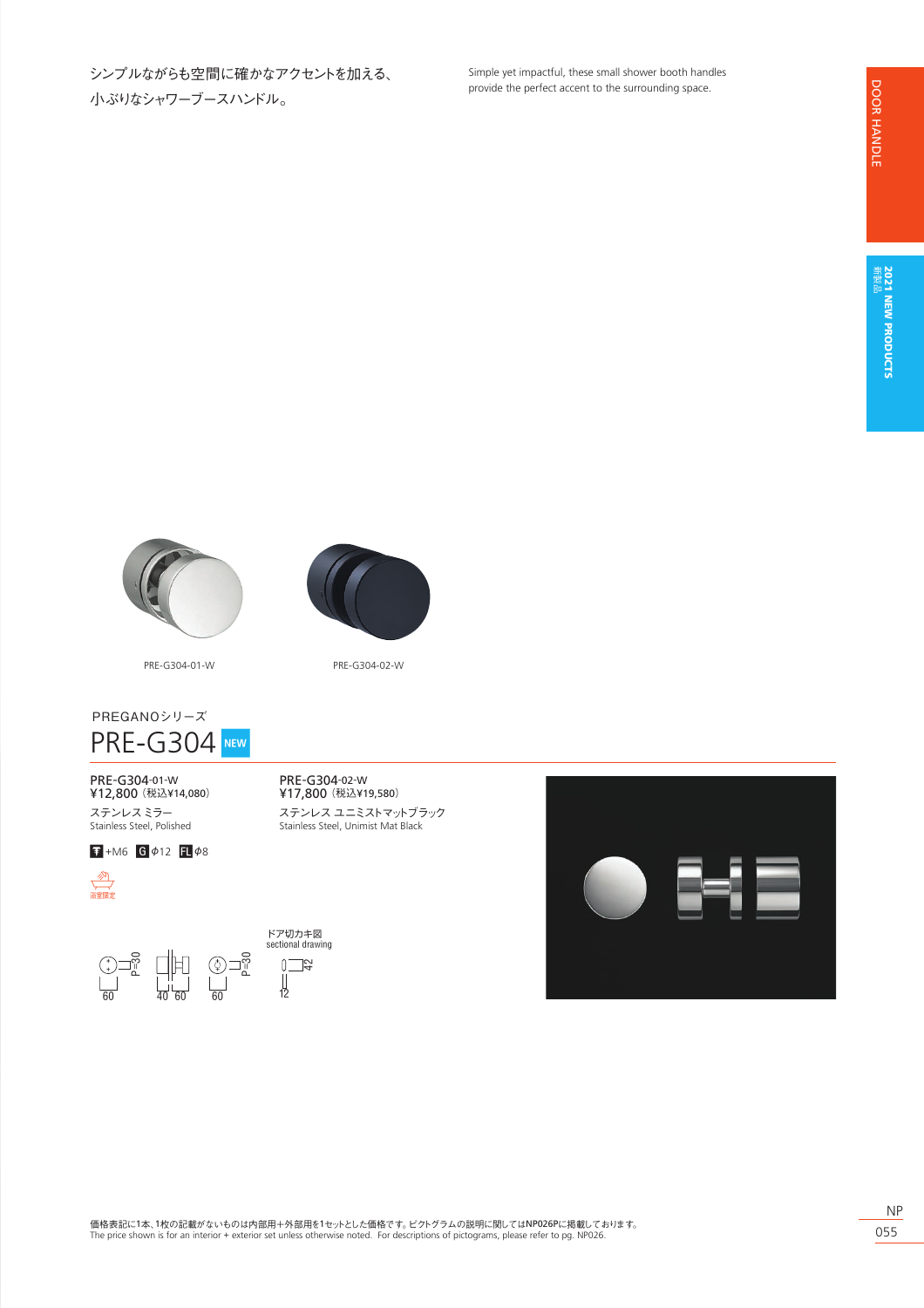シンプルながらも空間に確かなアクセントを加える、 小ぶりなシャワーブースハンドル。

Simple yet impactful, these small shower booth handles provide the perfect accent to the surrounding space.



PRE-G304-01-W PRE-G304-02-W





## PRE-G304-01-W ¥12,800 (税込¥14,080) ステンレスミラー Stainless Steel, Polished

## $\frac{1}{2} + M6$  G  $\phi$ 12 FL  $\phi$ 8



40 60 12 60 60 . 10 0 - 1



PRE-G304-02-W ¥17,800 (税込¥19,580) ステンレスユニミストマットブラック Stainless Steel, Unimist Mat Black



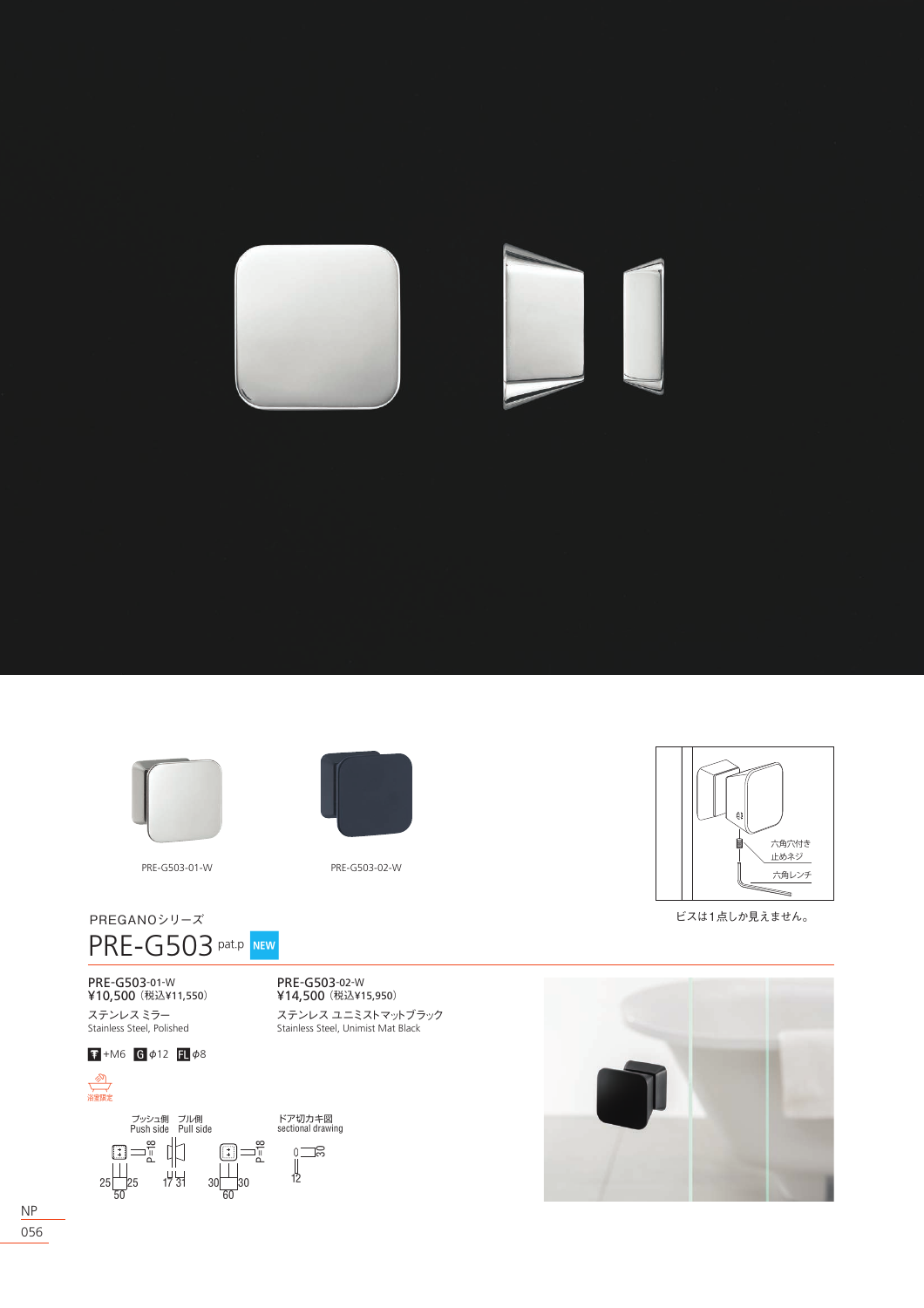





PRE-G503-01-W PRE-G503-02-W



ビスは1点しか見えません。

## PRE-G503 pat.p NEW PREGANOシリーズ

PRE-G503-01-W ¥10,500 (税込¥11,550) ステンレスミラー Stainless Steel, Polished



→ ◇



PRE-G503-02-W ¥14,500 (税込¥15,950) ステンレスユニミストマットブラック Stainless Steel, Unimist Mat Black

ドア切カキ図 sectional drawing





NP 056